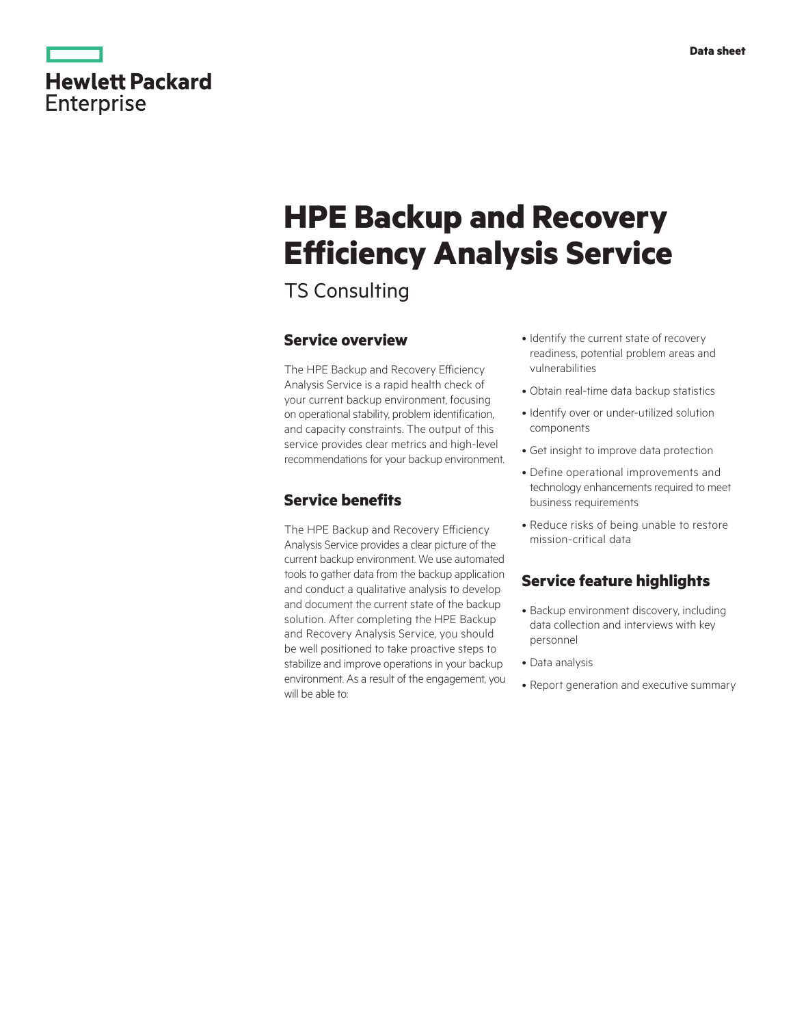|            | <b>Hewlett Packard</b> |
|------------|------------------------|
| Enterprise |                        |

# **HPE Backup and Recovery Efficiency Analysis Service**

TS Consulting

## **Service overview**

The HPE Backup and Recovery Efficiency Analysis Service is a rapid health check of your current backup environment, focusing on operational stability, problem identification, and capacity constraints. The output of this service provides clear metrics and high-level recommendations for your backup environment.

# **Service benefits**

The HPE Backup and Recovery Efficiency Analysis Service provides a clear picture of the current backup environment. We use automated tools to gather data from the backup application and conduct a qualitative analysis to develop and document the current state of the backup solution. After completing the HPE Backup and Recovery Analysis Service, you should be well positioned to take proactive steps to stabilize and improve operations in your backup environment. As a result of the engagement, you will be able to:

- Identify the current state of recovery readiness, potential problem areas and vulnerabilities
- Obtain real-time data backup statistics
- Identify over or under-utilized solution components
- Get insight to improve data protection
- Define operational improvements and technology enhancements required to meet business requirements
- Reduce risks of being unable to restore mission-critical data

## **Service feature highlights**

- Backup environment discovery, including data collection and interviews with key personnel
- Data analysis
- Report generation and executive summary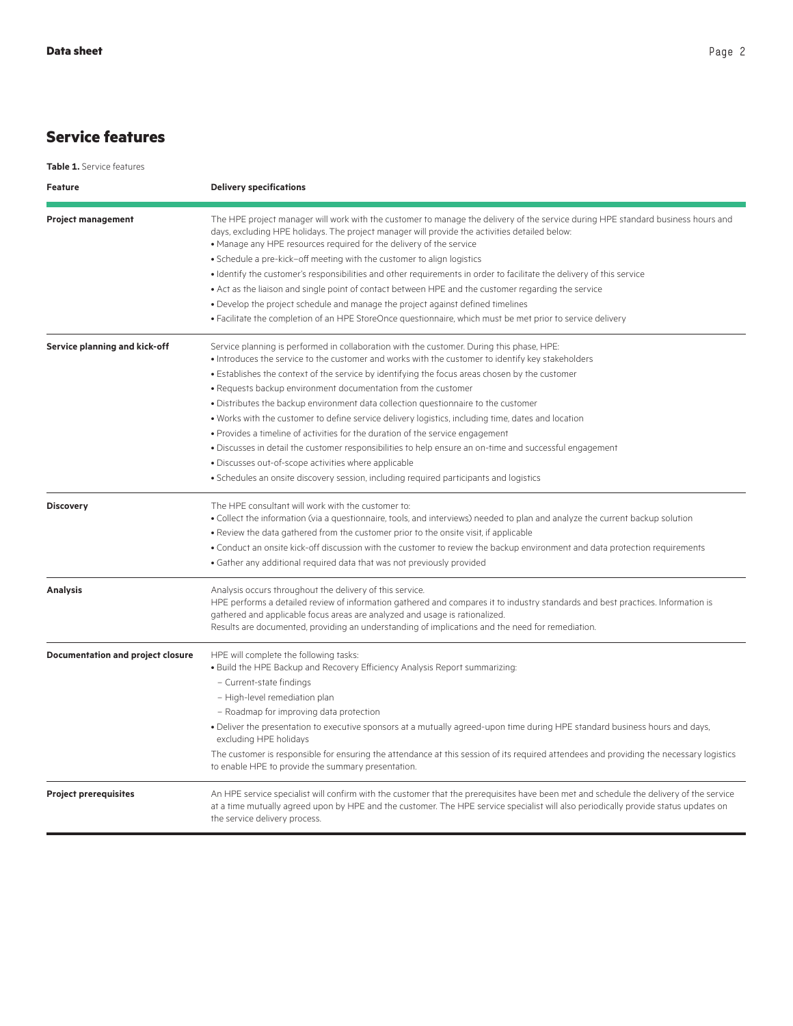# **Service features**

**Table 1.** Service features

| <b>Feature</b>                    | <b>Delivery specifications</b>                                                                                                                                                                                                                                                                                 |
|-----------------------------------|----------------------------------------------------------------------------------------------------------------------------------------------------------------------------------------------------------------------------------------------------------------------------------------------------------------|
| <b>Project management</b>         | The HPE project manager will work with the customer to manage the delivery of the service during HPE standard business hours and<br>days, excluding HPE holidays. The project manager will provide the activities detailed below:<br>• Manage any HPE resources required for the delivery of the service       |
|                                   | · Schedule a pre-kick-off meeting with the customer to align logistics                                                                                                                                                                                                                                         |
|                                   | . Identify the customer's responsibilities and other requirements in order to facilitate the delivery of this service                                                                                                                                                                                          |
|                                   | • Act as the liaison and single point of contact between HPE and the customer regarding the service                                                                                                                                                                                                            |
|                                   | . Develop the project schedule and manage the project against defined timelines                                                                                                                                                                                                                                |
|                                   | · Facilitate the completion of an HPE StoreOnce questionnaire, which must be met prior to service delivery                                                                                                                                                                                                     |
| Service planning and kick-off     | Service planning is performed in collaboration with the customer. During this phase, HPE:<br>. Introduces the service to the customer and works with the customer to identify key stakeholders                                                                                                                 |
|                                   | • Establishes the context of the service by identifying the focus areas chosen by the customer                                                                                                                                                                                                                 |
|                                   | . Requests backup environment documentation from the customer                                                                                                                                                                                                                                                  |
|                                   | · Distributes the backup environment data collection questionnaire to the customer                                                                                                                                                                                                                             |
|                                   | . Works with the customer to define service delivery logistics, including time, dates and location                                                                                                                                                                                                             |
|                                   | • Provides a timeline of activities for the duration of the service engagement                                                                                                                                                                                                                                 |
|                                   | · Discusses in detail the customer responsibilities to help ensure an on-time and successful engagement                                                                                                                                                                                                        |
|                                   | · Discusses out-of-scope activities where applicable                                                                                                                                                                                                                                                           |
|                                   | • Schedules an onsite discovery session, including required participants and logistics                                                                                                                                                                                                                         |
| <b>Discovery</b>                  | The HPE consultant will work with the customer to:<br>. Collect the information (via a questionnaire, tools, and interviews) needed to plan and analyze the current backup solution                                                                                                                            |
|                                   | . Review the data gathered from the customer prior to the onsite visit, if applicable                                                                                                                                                                                                                          |
|                                   | . Conduct an onsite kick-off discussion with the customer to review the backup environment and data protection requirements                                                                                                                                                                                    |
|                                   | • Gather any additional required data that was not previously provided                                                                                                                                                                                                                                         |
| <b>Analysis</b>                   | Analysis occurs throughout the delivery of this service.<br>HPE performs a detailed review of information gathered and compares it to industry standards and best practices. Information is<br>gathered and applicable focus areas are analyzed and usage is rationalized.                                     |
|                                   | Results are documented, providing an understanding of implications and the need for remediation.                                                                                                                                                                                                               |
| Documentation and project closure | HPE will complete the following tasks:<br>. Build the HPE Backup and Recovery Efficiency Analysis Report summarizing:                                                                                                                                                                                          |
|                                   | - Current-state findings                                                                                                                                                                                                                                                                                       |
|                                   | - High-level remediation plan                                                                                                                                                                                                                                                                                  |
|                                   | - Roadmap for improving data protection                                                                                                                                                                                                                                                                        |
|                                   | . Deliver the presentation to executive sponsors at a mutually agreed-upon time during HPE standard business hours and days,<br>excluding HPE holidays                                                                                                                                                         |
|                                   | The customer is responsible for ensuring the attendance at this session of its required attendees and providing the necessary logistics<br>to enable HPE to provide the summary presentation.                                                                                                                  |
| <b>Project prerequisites</b>      | An HPE service specialist will confirm with the customer that the prerequisites have been met and schedule the delivery of the service<br>at a time mutually agreed upon by HPE and the customer. The HPE service specialist will also periodically provide status updates on<br>the service delivery process. |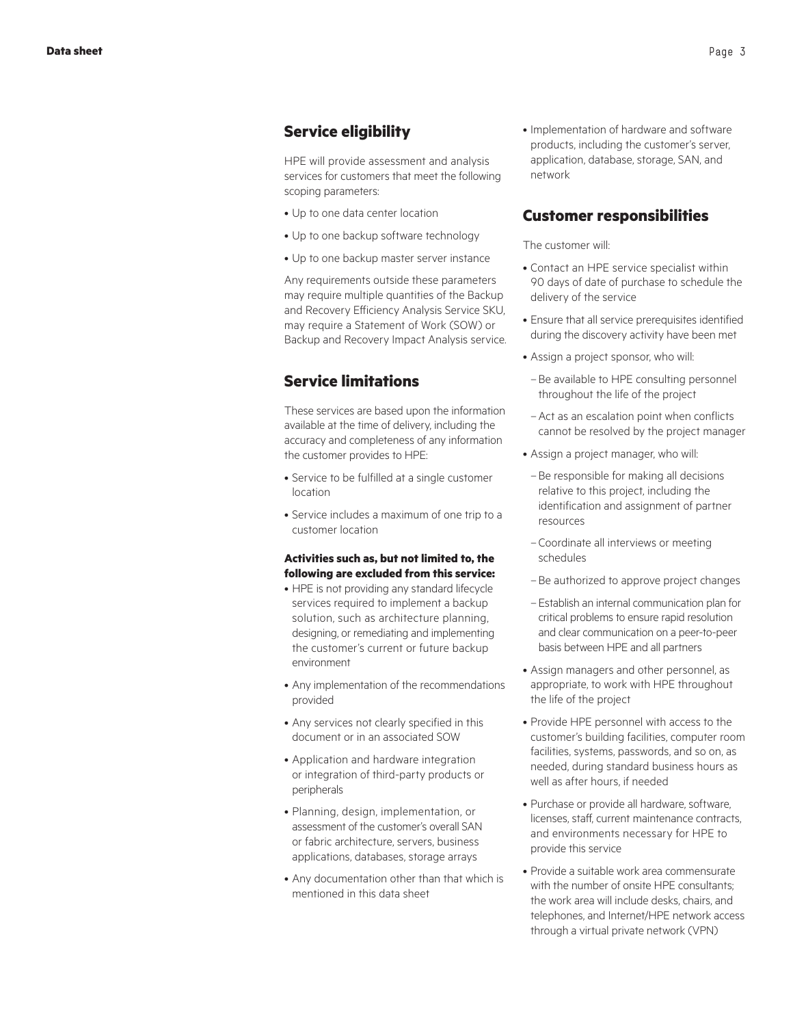## **Service eligibility**

HPE will provide assessment and analysis services for customers that meet the following scoping parameters:

- Up to one data center location
- Up to one backup software technology
- Up to one backup master server instance

Any requirements outside these parameters may require multiple quantities of the Backup and Recovery Efficiency Analysis Service SKU, may require a Statement of Work (SOW) or Backup and Recovery Impact Analysis service.

## **Service limitations**

These services are based upon the information available at the time of delivery, including the accuracy and completeness of any information the customer provides to HPE:

- Service to be fulfilled at a single customer location
- Service includes a maximum of one trip to a customer location

#### **Activities such as, but not limited to, the following are excluded from this service:**

- HPE is not providing any standard lifecycle services required to implement a backup solution, such as architecture planning, designing, or remediating and implementing the customer's current or future backup environment
- Any implementation of the recommendations provided
- Any services not clearly specified in this document or in an associated SOW
- Application and hardware integration or integration of third-party products or peripherals
- Planning, design, implementation, or assessment of the customer's overall SAN or fabric architecture, servers, business applications, databases, storage arrays
- Any documentation other than that which is mentioned in this data sheet

• Implementation of hardware and software products, including the customer's server, application, database, storage, SAN, and network

### **Customer responsibilities**

#### The customer will:

- Contact an HPE service specialist within 90 days of date of purchase to schedule the delivery of the service
- Ensure that all service prerequisites identified during the discovery activity have been met
- Assign a project sponsor, who will:
	- –Be available to HPE consulting personnel throughout the life of the project
- –Act as an escalation point when conflicts cannot be resolved by the project manager
- Assign a project manager, who will:
- –Be responsible for making all decisions relative to this project, including the identification and assignment of partner resources
- –Coordinate all interviews or meeting schedules
- –Be authorized to approve project changes
- –Establish an internal communication plan for critical problems to ensure rapid resolution and clear communication on a peer-to-peer basis between HPE and all partners
- Assign managers and other personnel, as appropriate, to work with HPE throughout the life of the project
- Provide HPE personnel with access to the customer's building facilities, computer room facilities, systems, passwords, and so on, as needed, during standard business hours as well as after hours, if needed
- Purchase or provide all hardware, software, licenses, staff, current maintenance contracts, and environments necessary for HPE to provide this service
- Provide a suitable work area commensurate with the number of onsite HPE consultants; the work area will include desks, chairs, and telephones, and Internet/HPE network access through a virtual private network (VPN)